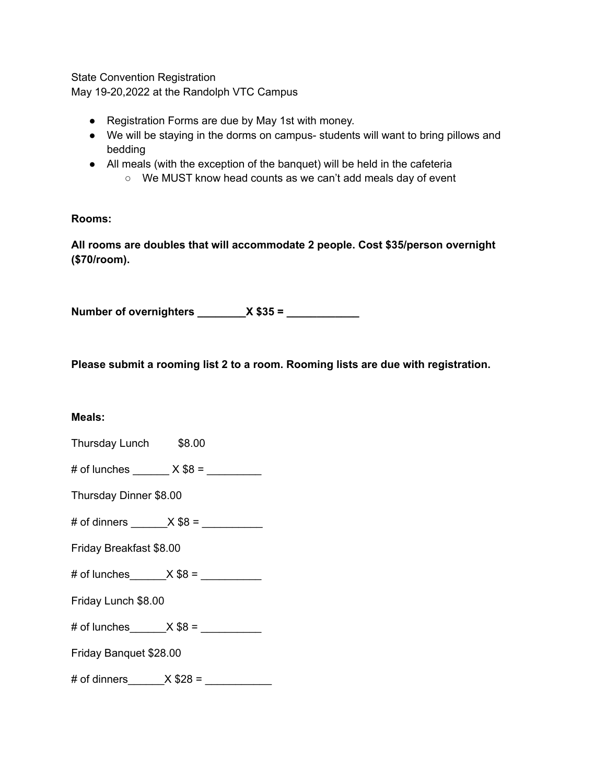State Convention Registration

May 19-20,2022 at the Randolph VTC Campus

- Registration Forms are due by May 1st with money.
- We will be staying in the dorms on campus- students will want to bring pillows and bedding
- All meals (with the exception of the banquet) will be held in the cafeteria
	- We MUST know head counts as we can't add meals day of event

**Rooms:**

**All rooms are doubles that will accommodate 2 people. Cost \$35/person overnight (\$70/room).**

**Number of overnighters \_\_\_\_\_\_\_\_X \$35 = \_\_\_\_\_\_\_\_\_\_\_\_**

**Please submit a rooming list 2 to a room. Rooming lists are due with registration.**

#### **Meals:**

Thursday Lunch \$8.00

# of lunches  $\_\_\_\_\_$   $\times$  \$8 =

Thursday Dinner \$8.00

# of dinners  $X $8 =$ 

Friday Breakfast \$8.00

# of lunches  $\_\_\_\_X$  \$8 =  $\_\_\_\_\_\_\_\_\_$ 

Friday Lunch \$8.00

# of lunches  $X $8 =$ 

Friday Banquet \$28.00

# of dinners  $X $28 =$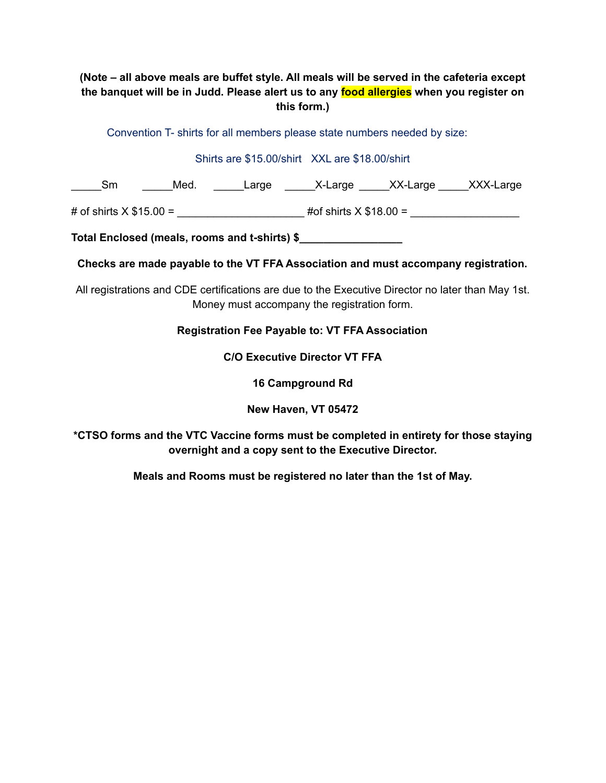### **(Note – all above meals are buffet style. All meals will be served in the cafeteria except the banquet will be in Judd. Please alert us to any food allergies when you register on this form.)**

Convention T- shirts for all members please state numbers needed by size:

#### Shirts are \$15.00/shirt XXL are \$18.00/shirt

\_\_\_\_\_\_Sm \_\_\_\_\_\_Med. \_\_\_\_\_\_\_Large \_\_\_\_\_\_\_X-Large \_\_\_\_\_\_XX-Large \_\_\_\_\_XXX-Large

# of shirts X \$15.00 = \_\_\_\_\_\_\_\_\_\_\_\_\_\_\_\_\_\_\_\_\_ #of shirts X \$18.00 = \_\_\_\_\_\_\_\_\_\_\_\_\_\_\_\_\_\_

**Total Enclosed (meals, rooms and t-shirts) \$\_\_\_\_\_\_\_\_\_\_\_\_\_\_\_\_\_**

**Checks are made payable to the VT FFA Association and must accompany registration.**

All registrations and CDE certifications are due to the Executive Director no later than May 1st. Money must accompany the registration form.

#### **Registration Fee Payable to: VT FFA Association**

**C/O Executive Director VT FFA**

**16 Campground Rd**

**New Haven, VT 05472**

**\*CTSO forms and the VTC Vaccine forms must be completed in entirety for those staying overnight and a copy sent to the Executive Director.**

**Meals and Rooms must be registered no later than the 1st of May.**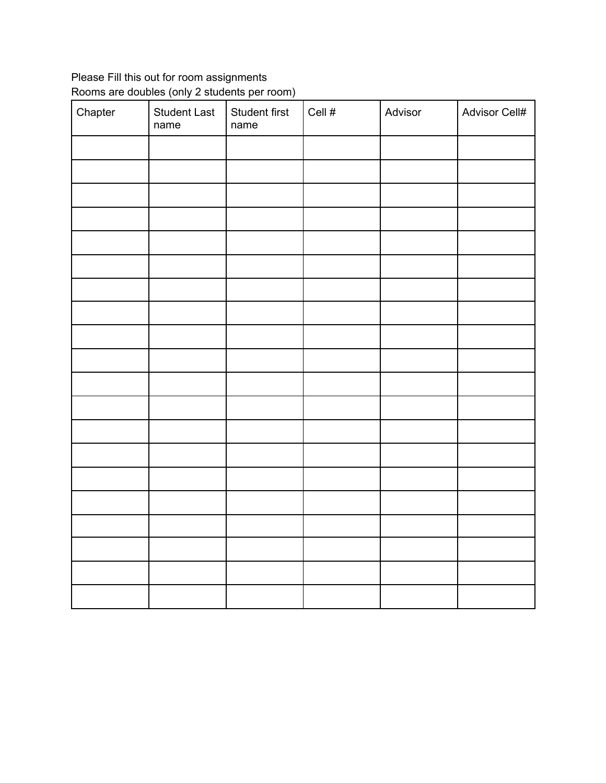# Please Fill this out for room assignments Rooms are doubles (only 2 students per room)

| Chapter | <b>Student Last</b><br>name | Student first<br>name | Cell $\#$ | Advisor | Advisor Cell# |
|---------|-----------------------------|-----------------------|-----------|---------|---------------|
|         |                             |                       |           |         |               |
|         |                             |                       |           |         |               |
|         |                             |                       |           |         |               |
|         |                             |                       |           |         |               |
|         |                             |                       |           |         |               |
|         |                             |                       |           |         |               |
|         |                             |                       |           |         |               |
|         |                             |                       |           |         |               |
|         |                             |                       |           |         |               |
|         |                             |                       |           |         |               |
|         |                             |                       |           |         |               |
|         |                             |                       |           |         |               |
|         |                             |                       |           |         |               |
|         |                             |                       |           |         |               |
|         |                             |                       |           |         |               |
|         |                             |                       |           |         |               |
|         |                             |                       |           |         |               |
|         |                             |                       |           |         |               |
|         |                             |                       |           |         |               |
|         |                             |                       |           |         |               |